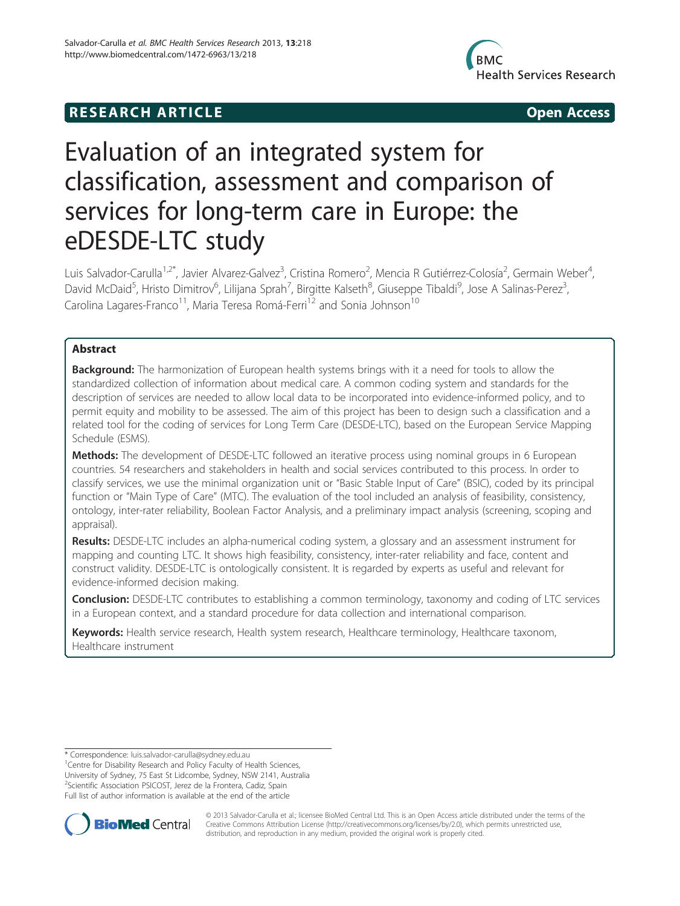# **RESEARCH ARTICLE Example 2014 12:25 Open Access**



# Evaluation of an integrated system for classification, assessment and comparison of services for long-term care in Europe: the eDESDE-LTC study

Luis Salvador-Carulla<sup>1,2\*</sup>, Javier Alvarez-Galvez<sup>3</sup>, Cristina Romero<sup>2</sup>, Mencia R Gutiérrez-Colosía<sup>2</sup>, Germain Weber<sup>4</sup> , David McDaid<sup>5</sup>, Hristo Dimitrov<sup>6</sup>, Lilijana Sprah<sup>7</sup>, Birgitte Kalseth<sup>8</sup>, Giuseppe Tibaldi<sup>9</sup>, Jose A Salinas-Perez<sup>3</sup> , Carolina Lagares-Franco<sup>11</sup>, Maria Teresa Romá-Ferri<sup>12</sup> and Sonia Johnson<sup>10</sup>

# Abstract

**Background:** The harmonization of European health systems brings with it a need for tools to allow the standardized collection of information about medical care. A common coding system and standards for the description of services are needed to allow local data to be incorporated into evidence-informed policy, and to permit equity and mobility to be assessed. The aim of this project has been to design such a classification and a related tool for the coding of services for Long Term Care (DESDE-LTC), based on the European Service Mapping Schedule (ESMS).

Methods: The development of DESDE-LTC followed an iterative process using nominal groups in 6 European countries. 54 researchers and stakeholders in health and social services contributed to this process. In order to classify services, we use the minimal organization unit or "Basic Stable Input of Care" (BSIC), coded by its principal function or "Main Type of Care" (MTC). The evaluation of the tool included an analysis of feasibility, consistency, ontology, inter-rater reliability, Boolean Factor Analysis, and a preliminary impact analysis (screening, scoping and appraisal).

Results: DESDE-LTC includes an alpha-numerical coding system, a glossary and an assessment instrument for mapping and counting LTC. It shows high feasibility, consistency, inter-rater reliability and face, content and construct validity. DESDE-LTC is ontologically consistent. It is regarded by experts as useful and relevant for evidence-informed decision making.

**Conclusion:** DESDE-LTC contributes to establishing a common terminology, taxonomy and coding of LTC services in a European context, and a standard procedure for data collection and international comparison.

Keywords: Health service research, Health system research, Healthcare terminology, Healthcare taxonom, Healthcare instrument

2 Scientific Association PSICOST, Jerez de la Frontera, Cadiz, Spain

Full list of author information is available at the end of the article



© 2013 Salvador-Carulla et al.; licensee BioMed Central Ltd. This is an Open Access article distributed under the terms of the Creative Commons Attribution License (<http://creativecommons.org/licenses/by/2.0>), which permits unrestricted use, distribution, and reproduction in any medium, provided the original work is properly cited.

<sup>\*</sup> Correspondence: [luis.salvador-carulla@sydney.edu.au](mailto:luis.salvador-carulla@sydney.edu.au) <sup>1</sup>

<sup>&</sup>lt;sup>1</sup> Centre for Disability Research and Policy Faculty of Health Sciences, University of Sydney, 75 East St Lidcombe, Sydney, NSW 2141, Australia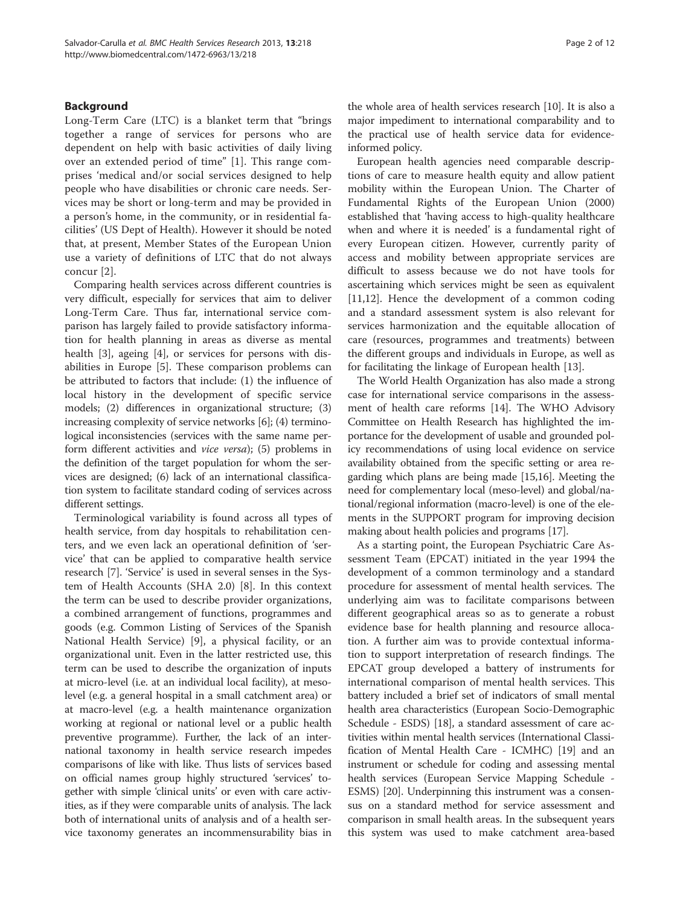### Background

Long-Term Care (LTC) is a blanket term that "brings together a range of services for persons who are dependent on help with basic activities of daily living over an extended period of time" [[1\]](#page-10-0). This range comprises 'medical and/or social services designed to help people who have disabilities or chronic care needs. Services may be short or long-term and may be provided in a person's home, in the community, or in residential facilities' (US Dept of Health). However it should be noted that, at present, Member States of the European Union use a variety of definitions of LTC that do not always concur [\[2](#page-10-0)].

Comparing health services across different countries is very difficult, especially for services that aim to deliver Long-Term Care. Thus far, international service comparison has largely failed to provide satisfactory information for health planning in areas as diverse as mental health [\[3](#page-10-0)], ageing [[4](#page-10-0)], or services for persons with disabilities in Europe [\[5\]](#page-10-0). These comparison problems can be attributed to factors that include: (1) the influence of local history in the development of specific service models; (2) differences in organizational structure; (3) increasing complexity of service networks [\[6\]](#page-10-0); (4) terminological inconsistencies (services with the same name perform different activities and vice versa); (5) problems in the definition of the target population for whom the services are designed; (6) lack of an international classification system to facilitate standard coding of services across different settings.

Terminological variability is found across all types of health service, from day hospitals to rehabilitation centers, and we even lack an operational definition of 'service' that can be applied to comparative health service research [[7\]](#page-10-0). 'Service' is used in several senses in the System of Health Accounts (SHA 2.0) [\[8](#page-10-0)]. In this context the term can be used to describe provider organizations, a combined arrangement of functions, programmes and goods (e.g. Common Listing of Services of the Spanish National Health Service) [\[9\]](#page-10-0), a physical facility, or an organizational unit. Even in the latter restricted use, this term can be used to describe the organization of inputs at micro-level (i.e. at an individual local facility), at mesolevel (e.g. a general hospital in a small catchment area) or at macro-level (e.g. a health maintenance organization working at regional or national level or a public health preventive programme). Further, the lack of an international taxonomy in health service research impedes comparisons of like with like. Thus lists of services based on official names group highly structured 'services' together with simple 'clinical units' or even with care activities, as if they were comparable units of analysis. The lack both of international units of analysis and of a health service taxonomy generates an incommensurability bias in

the whole area of health services research [\[10\]](#page-10-0). It is also a major impediment to international comparability and to the practical use of health service data for evidenceinformed policy.

European health agencies need comparable descriptions of care to measure health equity and allow patient mobility within the European Union. The Charter of Fundamental Rights of the European Union (2000) established that 'having access to high-quality healthcare when and where it is needed' is a fundamental right of every European citizen. However, currently parity of access and mobility between appropriate services are difficult to assess because we do not have tools for ascertaining which services might be seen as equivalent [[11,12\]](#page-10-0). Hence the development of a common coding and a standard assessment system is also relevant for services harmonization and the equitable allocation of care (resources, programmes and treatments) between the different groups and individuals in Europe, as well as for facilitating the linkage of European health [[13\]](#page-10-0).

The World Health Organization has also made a strong case for international service comparisons in the assessment of health care reforms [\[14\]](#page-10-0). The WHO Advisory Committee on Health Research has highlighted the importance for the development of usable and grounded policy recommendations of using local evidence on service availability obtained from the specific setting or area regarding which plans are being made [\[15,16\]](#page-10-0). Meeting the need for complementary local (meso-level) and global/national/regional information (macro-level) is one of the elements in the SUPPORT program for improving decision making about health policies and programs [\[17\]](#page-10-0).

As a starting point, the European Psychiatric Care Assessment Team (EPCAT) initiated in the year 1994 the development of a common terminology and a standard procedure for assessment of mental health services. The underlying aim was to facilitate comparisons between different geographical areas so as to generate a robust evidence base for health planning and resource allocation. A further aim was to provide contextual information to support interpretation of research findings. The EPCAT group developed a battery of instruments for international comparison of mental health services. This battery included a brief set of indicators of small mental health area characteristics (European Socio-Demographic Schedule - ESDS) [\[18\]](#page-10-0), a standard assessment of care activities within mental health services (International Classification of Mental Health Care - ICMHC) [\[19\]](#page-10-0) and an instrument or schedule for coding and assessing mental health services (European Service Mapping Schedule - ESMS) [[20](#page-10-0)]. Underpinning this instrument was a consensus on a standard method for service assessment and comparison in small health areas. In the subsequent years this system was used to make catchment area-based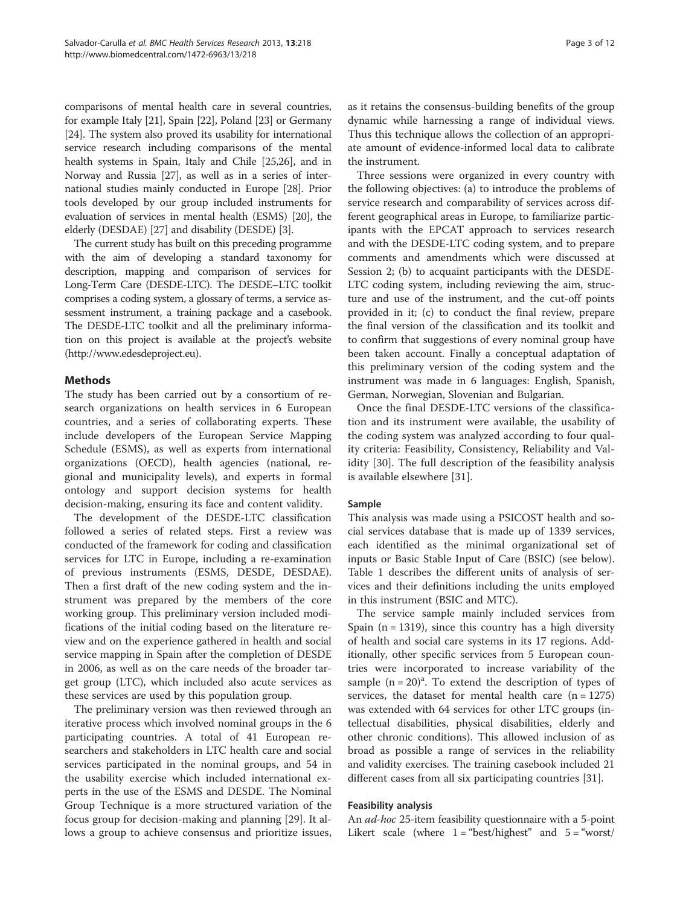comparisons of mental health care in several countries, for example Italy [\[21\]](#page-10-0), Spain [[22](#page-10-0)], Poland [[23](#page-10-0)] or Germany [[24](#page-11-0)]. The system also proved its usability for international service research including comparisons of the mental health systems in Spain, Italy and Chile [\[25,26\]](#page-11-0), and in Norway and Russia [\[27\]](#page-11-0), as well as in a series of international studies mainly conducted in Europe [\[28\]](#page-11-0). Prior tools developed by our group included instruments for evaluation of services in mental health (ESMS) [\[20\]](#page-10-0), the elderly (DESDAE) [[27](#page-11-0)] and disability (DESDE) [\[3](#page-10-0)].

The current study has built on this preceding programme with the aim of developing a standard taxonomy for description, mapping and comparison of services for Long-Term Care (DESDE-LTC). The DESDE–LTC toolkit comprises a coding system, a glossary of terms, a service assessment instrument, a training package and a casebook. The DESDE-LTC toolkit and all the preliminary information on this project is available at the project's website (<http://www.edesdeproject.eu>).

# Methods

The study has been carried out by a consortium of research organizations on health services in 6 European countries, and a series of collaborating experts. These include developers of the European Service Mapping Schedule (ESMS), as well as experts from international organizations (OECD), health agencies (national, regional and municipality levels), and experts in formal ontology and support decision systems for health decision-making, ensuring its face and content validity.

The development of the DESDE-LTC classification followed a series of related steps. First a review was conducted of the framework for coding and classification services for LTC in Europe, including a re-examination of previous instruments (ESMS, DESDE, DESDAE). Then a first draft of the new coding system and the instrument was prepared by the members of the core working group. This preliminary version included modifications of the initial coding based on the literature review and on the experience gathered in health and social service mapping in Spain after the completion of DESDE in 2006, as well as on the care needs of the broader target group (LTC), which included also acute services as these services are used by this population group.

The preliminary version was then reviewed through an iterative process which involved nominal groups in the 6 participating countries. A total of 41 European researchers and stakeholders in LTC health care and social services participated in the nominal groups, and 54 in the usability exercise which included international experts in the use of the ESMS and DESDE. The Nominal Group Technique is a more structured variation of the focus group for decision-making and planning [[29](#page-11-0)]. It allows a group to achieve consensus and prioritize issues, as it retains the consensus-building benefits of the group dynamic while harnessing a range of individual views. Thus this technique allows the collection of an appropriate amount of evidence-informed local data to calibrate the instrument.

Three sessions were organized in every country with the following objectives: (a) to introduce the problems of service research and comparability of services across different geographical areas in Europe, to familiarize participants with the EPCAT approach to services research and with the DESDE-LTC coding system, and to prepare comments and amendments which were discussed at Session 2; (b) to acquaint participants with the DESDE-LTC coding system, including reviewing the aim, structure and use of the instrument, and the cut-off points provided in it; (c) to conduct the final review, prepare the final version of the classification and its toolkit and to confirm that suggestions of every nominal group have been taken account. Finally a conceptual adaptation of this preliminary version of the coding system and the instrument was made in 6 languages: English, Spanish, German, Norwegian, Slovenian and Bulgarian.

Once the final DESDE-LTC versions of the classification and its instrument were available, the usability of the coding system was analyzed according to four quality criteria: Feasibility, Consistency, Reliability and Validity [[30\]](#page-11-0). The full description of the feasibility analysis is available elsewhere [[31\]](#page-11-0).

#### Sample

This analysis was made using a PSICOST health and social services database that is made up of 1339 services, each identified as the minimal organizational set of inputs or Basic Stable Input of Care (BSIC) (see below). Table [1](#page-3-0) describes the different units of analysis of services and their definitions including the units employed in this instrument (BSIC and MTC).

The service sample mainly included services from Spain ( $n = 1319$ ), since this country has a high diversity of health and social care systems in its 17 regions. Additionally, other specific services from 5 European countries were incorporated to increase variability of the sample  $(n = 20)^a$ . To extend the description of types of services, the dataset for mental health care  $(n = 1275)$ was extended with 64 services for other LTC groups (intellectual disabilities, physical disabilities, elderly and other chronic conditions). This allowed inclusion of as broad as possible a range of services in the reliability and validity exercises. The training casebook included 21 different cases from all six participating countries [[31\]](#page-11-0).

#### Feasibility analysis

An *ad-hoc* 25-item feasibility questionnaire with a 5-point Likert scale (where  $1 =$  "best/highest" and  $5 =$  "worst/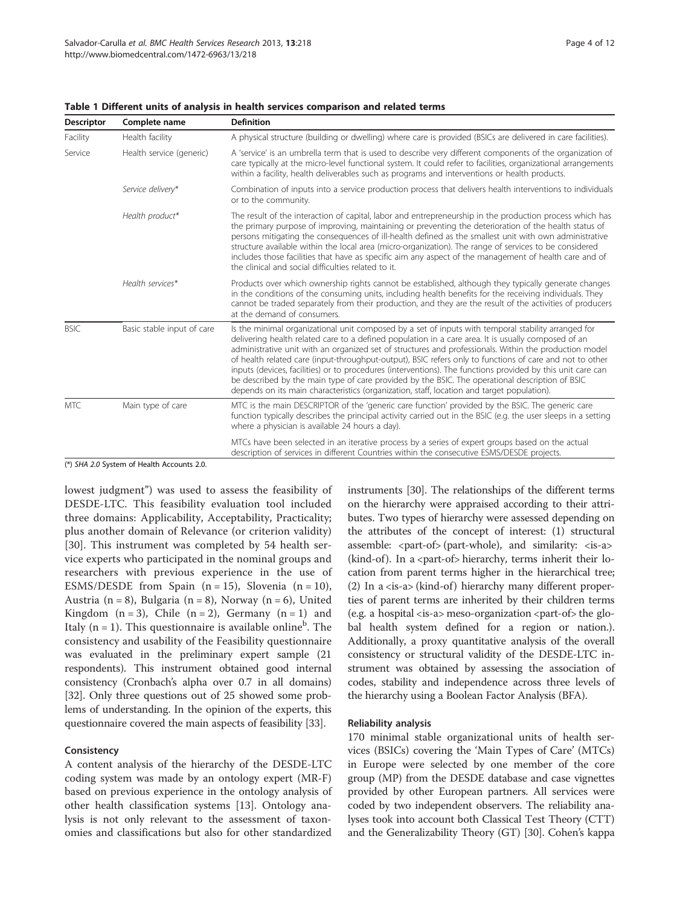| <b>Descriptor</b> | Complete name              | <b>Definition</b>                                                                                                                                                                                                                                                                                                                                                                                                                                                                                                                                                                                                                                                                                                                                |
|-------------------|----------------------------|--------------------------------------------------------------------------------------------------------------------------------------------------------------------------------------------------------------------------------------------------------------------------------------------------------------------------------------------------------------------------------------------------------------------------------------------------------------------------------------------------------------------------------------------------------------------------------------------------------------------------------------------------------------------------------------------------------------------------------------------------|
| Facility          | Health facility            | A physical structure (building or dwelling) where care is provided (BSICs are delivered in care facilities).                                                                                                                                                                                                                                                                                                                                                                                                                                                                                                                                                                                                                                     |
| Service           | Health service (generic)   | A 'service' is an umbrella term that is used to describe very different components of the organization of<br>care typically at the micro-level functional system. It could refer to facilities, organizational arrangements<br>within a facility, health deliverables such as programs and interventions or health products.                                                                                                                                                                                                                                                                                                                                                                                                                     |
|                   | Service delivery*          | Combination of inputs into a service production process that delivers health interventions to individuals<br>or to the community.                                                                                                                                                                                                                                                                                                                                                                                                                                                                                                                                                                                                                |
|                   | Health product*            | The result of the interaction of capital, labor and entrepreneurship in the production process which has<br>the primary purpose of improving, maintaining or preventing the deterioration of the health status of<br>persons mitigating the consequences of ill-health defined as the smallest unit with own administrative<br>structure available within the local area (micro-organization). The range of services to be considered<br>includes those facilities that have as specific aim any aspect of the management of health care and of<br>the clinical and social difficulties related to it.                                                                                                                                           |
|                   | Health services*           | Products over which ownership rights cannot be established, although they typically generate changes<br>in the conditions of the consuming units, including health benefits for the receiving individuals. They<br>cannot be traded separately from their production, and they are the result of the activities of producers<br>at the demand of consumers.                                                                                                                                                                                                                                                                                                                                                                                      |
| <b>BSIC</b>       | Basic stable input of care | Is the minimal organizational unit composed by a set of inputs with temporal stability arranged for<br>delivering health related care to a defined population in a care area. It is usually composed of an<br>administrative unit with an organized set of structures and professionals. Within the production model<br>of health related care (input-throughput-output), BSIC refers only to functions of care and not to other<br>inputs (devices, facilities) or to procedures (interventions). The functions provided by this unit care can<br>be described by the main type of care provided by the BSIC. The operational description of BSIC<br>depends on its main characteristics (organization, staff, location and target population). |
| <b>MTC</b>        | Main type of care          | MTC is the main DESCRIPTOR of the 'generic care function' provided by the BSIC. The generic care<br>function typically describes the principal activity carried out in the BSIC (e.g. the user sleeps in a setting<br>where a physician is available 24 hours a day).                                                                                                                                                                                                                                                                                                                                                                                                                                                                            |
|                   |                            | MTCs have been selected in an iterative process by a series of expert groups based on the actual<br>description of services in different Countries within the consecutive ESMS/DESDE projects.                                                                                                                                                                                                                                                                                                                                                                                                                                                                                                                                                   |

<span id="page-3-0"></span>Table 1 Different units of analysis in health services comparison and related terms

(\*) SHA 2.0 System of Health Accounts 2.0.

lowest judgment") was used to assess the feasibility of DESDE-LTC. This feasibility evaluation tool included three domains: Applicability, Acceptability, Practicality; plus another domain of Relevance (or criterion validity) [[30\]](#page-11-0). This instrument was completed by 54 health service experts who participated in the nominal groups and researchers with previous experience in the use of ESMS/DESDE from Spain  $(n = 15)$ , Slovenia  $(n = 10)$ , Austria (n = 8), Bulgaria (n = 8), Norway (n = 6), United Kingdom  $(n = 3)$ , Chile  $(n = 2)$ , Germany  $(n = 1)$  and Italy  $(n = 1)$ . This questionnaire is available online<sup>b</sup>. The consistency and usability of the Feasibility questionnaire was evaluated in the preliminary expert sample (21 respondents). This instrument obtained good internal consistency (Cronbach's alpha over 0.7 in all domains) [[32](#page-11-0)]. Only three questions out of 25 showed some problems of understanding. In the opinion of the experts, this questionnaire covered the main aspects of feasibility [[33](#page-11-0)].

# Consistency

A content analysis of the hierarchy of the DESDE-LTC coding system was made by an ontology expert (MR-F) based on previous experience in the ontology analysis of other health classification systems [[13\]](#page-10-0). Ontology analysis is not only relevant to the assessment of taxonomies and classifications but also for other standardized instruments [\[30\]](#page-11-0). The relationships of the different terms on the hierarchy were appraised according to their attributes. Two types of hierarchy were assessed depending on the attributes of the concept of interest: (1) structural assemble: <part-of> (part-whole), and similarity: <is-a> (kind-of). In a <part-of> hierarchy, terms inherit their location from parent terms higher in the hierarchical tree; (2) In a  $\langle$ is-a $\rangle$  (kind-of) hierarchy many different properties of parent terms are inherited by their children terms (e.g. a hospital  $\langle$ is-a $>$  meso-organization  $\langle$  part-of $>$  the global health system defined for a region or nation.). Additionally, a proxy quantitative analysis of the overall consistency or structural validity of the DESDE-LTC instrument was obtained by assessing the association of codes, stability and independence across three levels of the hierarchy using a Boolean Factor Analysis (BFA).

#### Reliability analysis

170 minimal stable organizational units of health services (BSICs) covering the 'Main Types of Care' (MTCs) in Europe were selected by one member of the core group (MP) from the DESDE database and case vignettes provided by other European partners. All services were coded by two independent observers. The reliability analyses took into account both Classical Test Theory (CTT) and the Generalizability Theory (GT) [\[30\]](#page-11-0). Cohen's kappa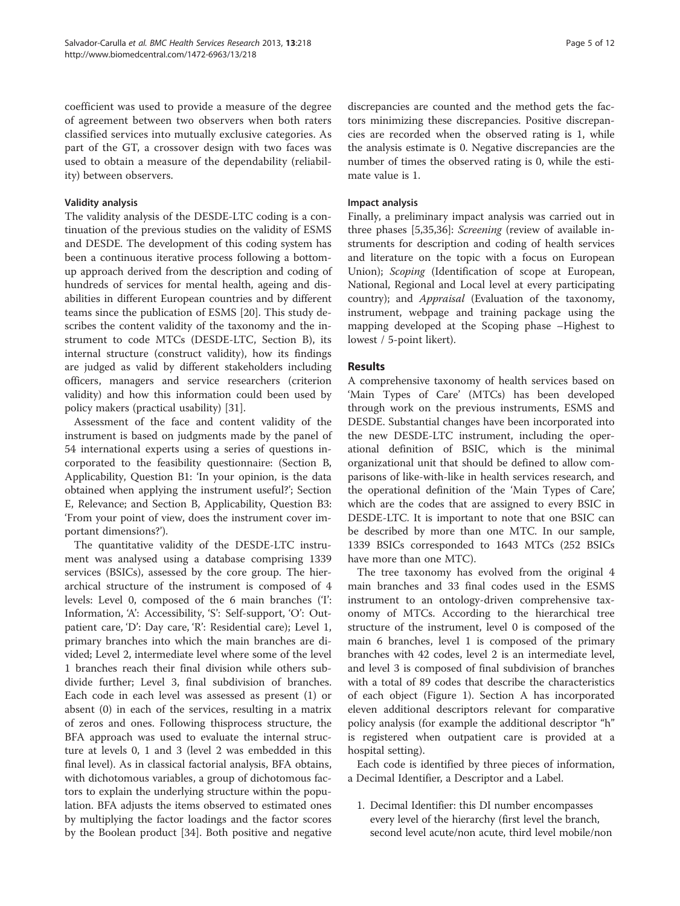#### Validity analysis

The validity analysis of the DESDE-LTC coding is a continuation of the previous studies on the validity of ESMS and DESDE. The development of this coding system has been a continuous iterative process following a bottomup approach derived from the description and coding of hundreds of services for mental health, ageing and disabilities in different European countries and by different teams since the publication of ESMS [\[20](#page-10-0)]. This study describes the content validity of the taxonomy and the instrument to code MTCs (DESDE-LTC, Section B), its internal structure (construct validity), how its findings are judged as valid by different stakeholders including officers, managers and service researchers (criterion validity) and how this information could been used by policy makers (practical usability) [\[31\]](#page-11-0).

Assessment of the face and content validity of the instrument is based on judgments made by the panel of 54 international experts using a series of questions incorporated to the feasibility questionnaire: (Section B, Applicability, Question B1: 'In your opinion, is the data obtained when applying the instrument useful?'; Section E, Relevance; and Section B, Applicability, Question B3: 'From your point of view, does the instrument cover important dimensions?').

The quantitative validity of the DESDE-LTC instrument was analysed using a database comprising 1339 services (BSICs), assessed by the core group. The hierarchical structure of the instrument is composed of 4 levels: Level 0, composed of the 6 main branches ('I': Information, 'A': Accessibility, 'S': Self-support, 'O': Outpatient care, 'D': Day care, 'R': Residential care); Level 1, primary branches into which the main branches are divided; Level 2, intermediate level where some of the level 1 branches reach their final division while others subdivide further; Level 3, final subdivision of branches. Each code in each level was assessed as present (1) or absent (0) in each of the services, resulting in a matrix of zeros and ones. Following thisprocess structure, the BFA approach was used to evaluate the internal structure at levels 0, 1 and 3 (level 2 was embedded in this final level). As in classical factorial analysis, BFA obtains, with dichotomous variables, a group of dichotomous factors to explain the underlying structure within the population. BFA adjusts the items observed to estimated ones by multiplying the factor loadings and the factor scores by the Boolean product [[34](#page-11-0)]. Both positive and negative

discrepancies are counted and the method gets the factors minimizing these discrepancies. Positive discrepancies are recorded when the observed rating is 1, while the analysis estimate is 0. Negative discrepancies are the number of times the observed rating is 0, while the estimate value is 1.

### Impact analysis

Finally, a preliminary impact analysis was carried out in three phases [\[5](#page-10-0)[,35,36](#page-11-0)]: Screening (review of available instruments for description and coding of health services and literature on the topic with a focus on European Union); Scoping (Identification of scope at European, National, Regional and Local level at every participating country); and Appraisal (Evaluation of the taxonomy, instrument, webpage and training package using the mapping developed at the Scoping phase –Highest to lowest / 5-point likert).

# Results

A comprehensive taxonomy of health services based on 'Main Types of Care' (MTCs) has been developed through work on the previous instruments, ESMS and DESDE. Substantial changes have been incorporated into the new DESDE-LTC instrument, including the operational definition of BSIC, which is the minimal organizational unit that should be defined to allow comparisons of like-with-like in health services research, and the operational definition of the 'Main Types of Care', which are the codes that are assigned to every BSIC in DESDE-LTC. It is important to note that one BSIC can be described by more than one MTC. In our sample, 1339 BSICs corresponded to 1643 MTCs (252 BSICs have more than one MTC).

The tree taxonomy has evolved from the original 4 main branches and 33 final codes used in the ESMS instrument to an ontology-driven comprehensive taxonomy of MTCs. According to the hierarchical tree structure of the instrument, level 0 is composed of the main 6 branches, level 1 is composed of the primary branches with 42 codes, level 2 is an intermediate level, and level 3 is composed of final subdivision of branches with a total of 89 codes that describe the characteristics of each object (Figure [1\)](#page-5-0). Section A has incorporated eleven additional descriptors relevant for comparative policy analysis (for example the additional descriptor "h" is registered when outpatient care is provided at a hospital setting).

Each code is identified by three pieces of information, a Decimal Identifier, a Descriptor and a Label.

1. Decimal Identifier: this DI number encompasses every level of the hierarchy (first level the branch, second level acute/non acute, third level mobile/non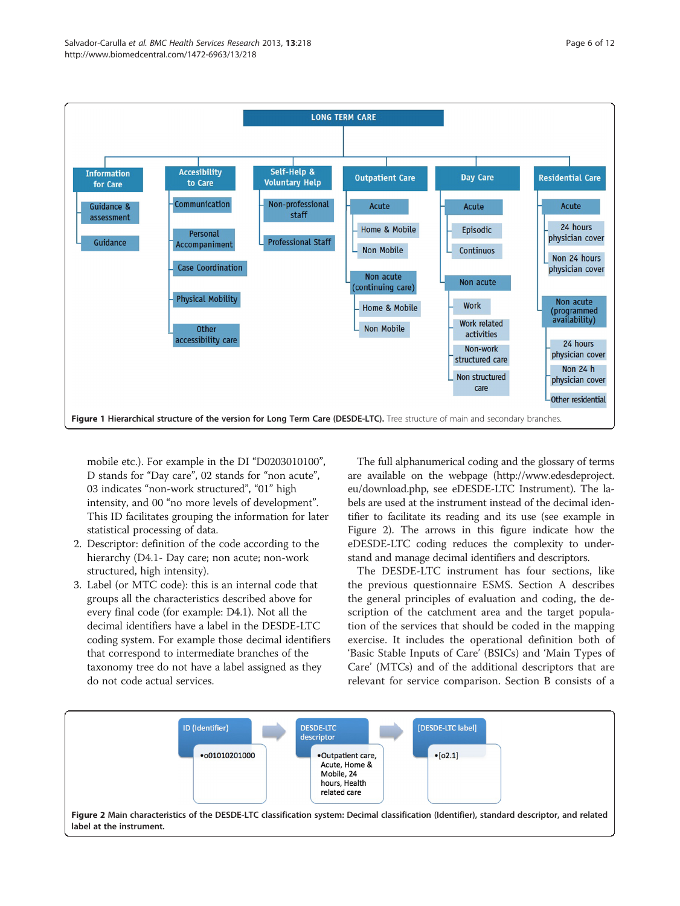<span id="page-5-0"></span>

mobile etc.). For example in the DI "D0203010100", D stands for "Day care", 02 stands for "non acute", 03 indicates "non-work structured", "01" high intensity, and 00 "no more levels of development". This ID facilitates grouping the information for later statistical processing of data.

- 2. Descriptor: definition of the code according to the hierarchy (D4.1- Day care; non acute; non-work structured, high intensity).
- 3. Label (or MTC code): this is an internal code that groups all the characteristics described above for every final code (for example: D4.1). Not all the decimal identifiers have a label in the DESDE-LTC coding system. For example those decimal identifiers that correspond to intermediate branches of the taxonomy tree do not have a label assigned as they do not code actual services.

The full alphanumerical coding and the glossary of terms are available on the webpage [\(http://www.edesdeproject.](http://www.edesdeproject.eu/download.php) [eu/download.php,](http://www.edesdeproject.eu/download.php) see eDESDE-LTC Instrument). The labels are used at the instrument instead of the decimal identifier to facilitate its reading and its use (see example in Figure 2). The arrows in this figure indicate how the eDESDE-LTC coding reduces the complexity to understand and manage decimal identifiers and descriptors.

The DESDE-LTC instrument has four sections, like the previous questionnaire ESMS. Section A describes the general principles of evaluation and coding, the description of the catchment area and the target population of the services that should be coded in the mapping exercise. It includes the operational definition both of 'Basic Stable Inputs of Care' (BSICs) and 'Main Types of Care' (MTCs) and of the additional descriptors that are relevant for service comparison. Section B consists of a

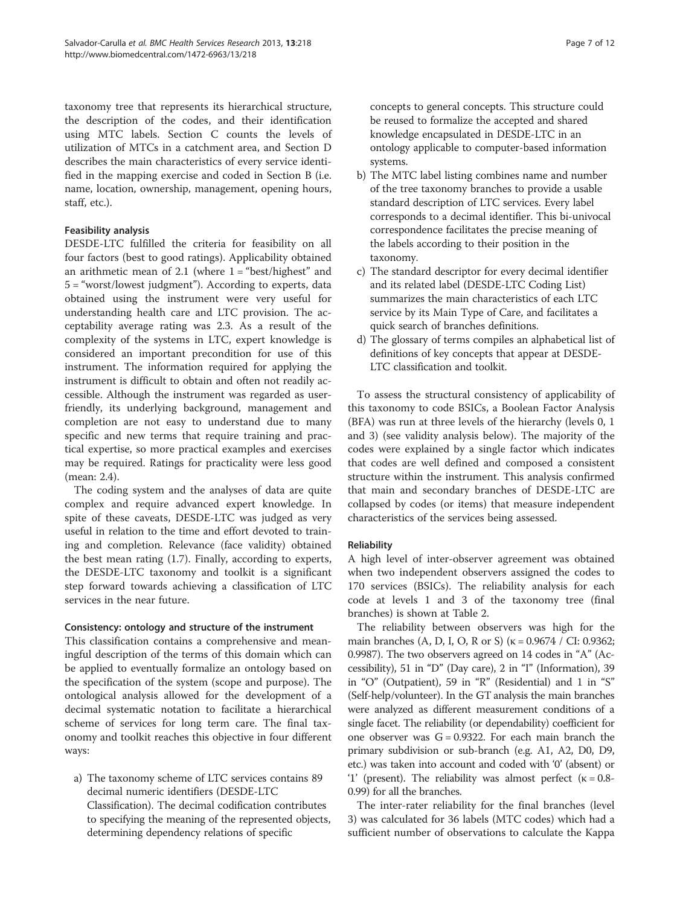taxonomy tree that represents its hierarchical structure, the description of the codes, and their identification using MTC labels. Section C counts the levels of utilization of MTCs in a catchment area, and Section D describes the main characteristics of every service identified in the mapping exercise and coded in Section B (i.e. name, location, ownership, management, opening hours, staff, etc.).

# Feasibility analysis

DESDE-LTC fulfilled the criteria for feasibility on all four factors (best to good ratings). Applicability obtained an arithmetic mean of 2.1 (where  $1 =$  "best/highest" and 5 = "worst/lowest judgment"). According to experts, data obtained using the instrument were very useful for understanding health care and LTC provision. The acceptability average rating was 2.3. As a result of the complexity of the systems in LTC, expert knowledge is considered an important precondition for use of this instrument. The information required for applying the instrument is difficult to obtain and often not readily accessible. Although the instrument was regarded as userfriendly, its underlying background, management and completion are not easy to understand due to many specific and new terms that require training and practical expertise, so more practical examples and exercises may be required. Ratings for practicality were less good (mean: 2.4).

The coding system and the analyses of data are quite complex and require advanced expert knowledge. In spite of these caveats, DESDE-LTC was judged as very useful in relation to the time and effort devoted to training and completion. Relevance (face validity) obtained the best mean rating (1.7). Finally, according to experts, the DESDE-LTC taxonomy and toolkit is a significant step forward towards achieving a classification of LTC services in the near future.

#### Consistency: ontology and structure of the instrument

This classification contains a comprehensive and meaningful description of the terms of this domain which can be applied to eventually formalize an ontology based on the specification of the system (scope and purpose). The ontological analysis allowed for the development of a decimal systematic notation to facilitate a hierarchical scheme of services for long term care. The final taxonomy and toolkit reaches this objective in four different ways:

a) The taxonomy scheme of LTC services contains 89 decimal numeric identifiers (DESDE-LTC Classification). The decimal codification contributes to specifying the meaning of the represented objects, determining dependency relations of specific

concepts to general concepts. This structure could be reused to formalize the accepted and shared knowledge encapsulated in DESDE-LTC in an ontology applicable to computer-based information systems.

- b) The MTC label listing combines name and number of the tree taxonomy branches to provide a usable standard description of LTC services. Every label corresponds to a decimal identifier. This bi-univocal correspondence facilitates the precise meaning of the labels according to their position in the taxonomy.
- c) The standard descriptor for every decimal identifier and its related label (DESDE-LTC Coding List) summarizes the main characteristics of each LTC service by its Main Type of Care, and facilitates a quick search of branches definitions.
- d) The glossary of terms compiles an alphabetical list of definitions of key concepts that appear at DESDE-LTC classification and toolkit.

To assess the structural consistency of applicability of this taxonomy to code BSICs, a Boolean Factor Analysis (BFA) was run at three levels of the hierarchy (levels 0, 1 and 3) (see [validity analysis](#page-7-0) below). The majority of the codes were explained by a single factor which indicates that codes are well defined and composed a consistent structure within the instrument. This analysis confirmed that main and secondary branches of DESDE-LTC are collapsed by codes (or items) that measure independent characteristics of the services being assessed.

# Reliability

A high level of inter-observer agreement was obtained when two independent observers assigned the codes to 170 services (BSICs). The reliability analysis for each code at levels 1 and 3 of the taxonomy tree (final branches) is shown at Table [2.](#page-7-0)

The reliability between observers was high for the main branches (A, D, I, O, R or S) (κ = 0.9674 / CI: 0.9362; 0.9987). The two observers agreed on 14 codes in "A" (Accessibility), 51 in "D" (Day care), 2 in "I" (Information), 39 in "O" (Outpatient), 59 in "R" (Residential) and 1 in "S" (Self-help/volunteer). In the GT analysis the main branches were analyzed as different measurement conditions of a single facet. The reliability (or dependability) coefficient for one observer was  $G = 0.9322$ . For each main branch the primary subdivision or sub-branch (e.g. A1, A2, D0, D9, etc.) was taken into account and coded with '0' (absent) or '1' (present). The reliability was almost perfect ( $\kappa = 0.8$ -0.99) for all the branches.

The inter-rater reliability for the final branches (level 3) was calculated for 36 labels (MTC codes) which had a sufficient number of observations to calculate the Kappa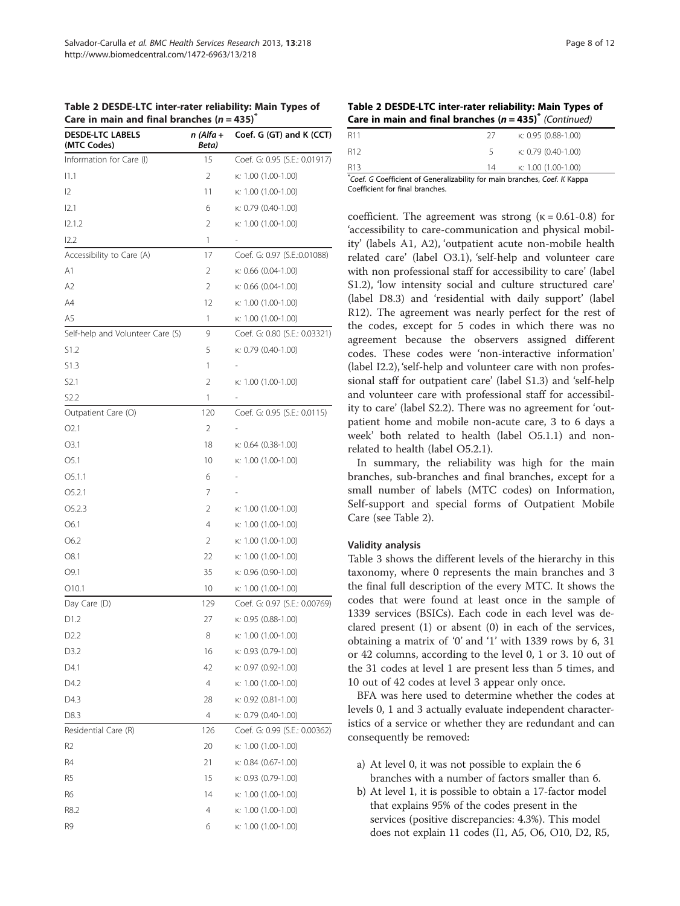<span id="page-7-0"></span>Table 2 DESDE-LTC inter-rater reliability: Main Types of Care in main and final branches  $(n = 435)^*$ 

| <b>DESDE-LTC LABELS</b><br>(MTC Codes) | n (Alfa+<br>Beta) | Coef. G (GT) and K (CCT)      |
|----------------------------------------|-------------------|-------------------------------|
| Information for Care (I)               | 15                | Coef. G: 0.95 (S.E.: 0.01917) |
| 11.1                                   | 2                 | K: 1.00 (1.00-1.00)           |
| 12                                     | 11                | K: 1.00 (1.00-1.00)           |
| 12.1                                   | 6                 | K: 0.79 (0.40-1.00)           |
| 12.1.2                                 | 2                 | K: 1.00 (1.00-1.00)           |
| 12.2                                   | 1                 |                               |
| Accessibility to Care (A)              | 17                | Coef. G: 0.97 (S.E.:0.01088)  |
| A1                                     | 2                 | к: 0.66 (0.04-1.00)           |
| A2                                     | 2                 | K: 0.66 (0.04-1.00)           |
| A4                                     | 12                | K: 1.00 (1.00-1.00)           |
| A5                                     | 1                 | K: 1.00 (1.00-1.00)           |
| Self-help and Volunteer Care (S)       | 9                 | Coef. G: 0.80 (S.E.: 0.03321) |
| S1.2                                   | 5                 | K: 0.79 (0.40-1.00)           |
| S1.3                                   | 1                 |                               |
| S <sub>2.1</sub>                       | 2                 | K: 1.00 (1.00-1.00)           |
| S <sub>2.2</sub>                       | 1                 |                               |
| Outpatient Care (O)                    | 120               | Coef. G: 0.95 (S.E.: 0.0115)  |
| 02.1                                   | 2                 |                               |
| 03.1                                   | 18                | к: 0.64 (0.38-1.00)           |
| O5.1                                   | 10                | K: 1.00 (1.00-1.00)           |
| 05.1.1                                 | 6                 |                               |
| O5.2.1                                 | 7                 |                               |
| O5.2.3                                 | 2                 | K: 1.00 (1.00-1.00)           |
| O6.1                                   | 4                 | K: 1.00 (1.00-1.00)           |
| O6.2                                   | 2                 | K: 1.00 (1.00-1.00)           |
| 08.1                                   | 22                | K: 1.00 (1.00-1.00)           |
| 09.1                                   | 35                | K: 0.96 (0.90-1.00)           |
| O10.1                                  | 10                | K: 1.00 (1.00-1.00)           |
| Day Care (D)                           | 129               | Coef. G: 0.97 (S.E.: 0.00769) |
| D <sub>1.2</sub>                       | 27                | K: 0.95 (0.88-1.00)           |
| D2.2                                   | 8                 | к: 1.00 (1.00-1.00)           |
| D3.2                                   | 16                | K: 0.93 (0.79-1.00)           |
| D4.1                                   | 42                | K: 0.97 (0.92-1.00)           |
| D4.2                                   | $\overline{4}$    | K: 1.00 (1.00-1.00)           |
| D4.3                                   | 28                | K: 0.92 (0.81-1.00)           |
| D8.3                                   | $\overline{4}$    | K: 0.79 (0.40-1.00)           |
| Residential Care (R)                   | 126               | Coef. G: 0.99 (S.E.: 0.00362) |
| R2                                     | 20                | K: 1.00 (1.00-1.00)           |
| R4                                     | 21                | K: 0.84 (0.67-1.00)           |
| R5                                     | 15                | K: 0.93 (0.79-1.00)           |
| R6                                     | 14                | K: 1.00 (1.00-1.00)           |
| R8.2                                   | 4                 | K: 1.00 (1.00-1.00)           |
| R9                                     | 6                 | K: 1.00 (1.00-1.00)           |

Table 2 DESDE-LTC inter-rater reliability: Main Types of **Care in main and final branches (n = 435)** (Continued)

| R <sub>11</sub> | 27 | K: 0.95 (0.88-1.00)   |  |
|-----------------|----|-----------------------|--|
| R <sub>12</sub> | 5  | K: 0.79 (0.40-1.00)   |  |
| R <sub>13</sub> | 14 | $K: 1.00 (1.00-1.00)$ |  |
| <b>SALE</b>     |    |                       |  |

\*Coef. G Coefficient of Generalizability for main branches, Coef. K Kappa Coefficient for final branches.

coefficient. The agreement was strong  $(k = 0.61 - 0.8)$  for 'accessibility to care-communication and physical mobility' (labels A1, A2), 'outpatient acute non-mobile health related care' (label O3.1), 'self-help and volunteer care with non professional staff for accessibility to care' (label S1.2), 'low intensity social and culture structured care' (label D8.3) and 'residential with daily support' (label R12). The agreement was nearly perfect for the rest of the codes, except for 5 codes in which there was no agreement because the observers assigned different codes. These codes were 'non-interactive information' (label I2.2), 'self-help and volunteer care with non professional staff for outpatient care' (label S1.3) and 'self-help and volunteer care with professional staff for accessibility to care' (label S2.2). There was no agreement for 'outpatient home and mobile non-acute care, 3 to 6 days a week' both related to health (label O5.1.1) and nonrelated to health (label O5.2.1).

In summary, the reliability was high for the main branches, sub-branches and final branches, except for a small number of labels (MTC codes) on Information, Self-support and special forms of Outpatient Mobile Care (see Table 2).

#### Validity analysis

Table [3](#page-8-0) shows the different levels of the hierarchy in this taxonomy, where 0 represents the main branches and 3 the final full description of the every MTC. It shows the codes that were found at least once in the sample of 1339 services (BSICs). Each code in each level was declared present (1) or absent (0) in each of the services, obtaining a matrix of '0' and '1' with 1339 rows by 6, 31 or 42 columns, according to the level 0, 1 or 3. 10 out of the 31 codes at level 1 are present less than 5 times, and 10 out of 42 codes at level 3 appear only once.

BFA was here used to determine whether the codes at levels 0, 1 and 3 actually evaluate independent characteristics of a service or whether they are redundant and can consequently be removed:

- a) At level 0, it was not possible to explain the 6 branches with a number of factors smaller than 6.
- b) At level 1, it is possible to obtain a 17-factor model that explains 95% of the codes present in the services (positive discrepancies: 4.3%). This model does not explain 11 codes (I1, A5, O6, O10, D2, R5,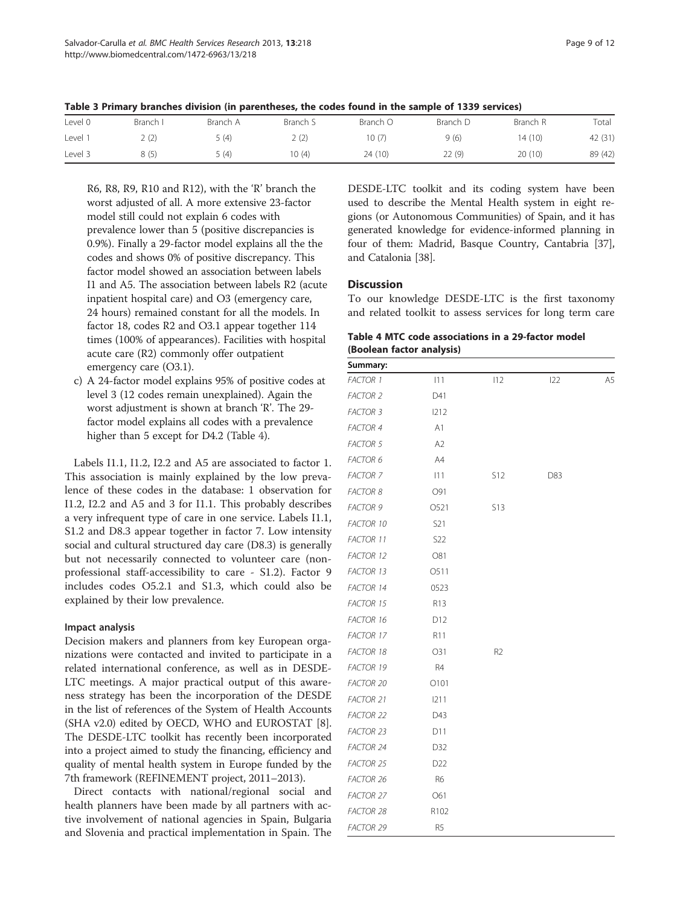| Level 0 | Branch I | Branch A | Branch S | Branch O | Branch D | Branch R | Total   |
|---------|----------|----------|----------|----------|----------|----------|---------|
| Level 1 | 2(2)     | 5(4)     | 2(2)     | 10 (7)   | 9 (6)    | 14 (10)  | 42 (31) |
| Level 3 | 8(5)     | 5 (4)    | 10 (4)   | 24 (10)  | 22(9)    | 20(10)   | 89 (42) |

<span id="page-8-0"></span>Table 3 Primary branches division (in parentheses, the codes found in the sample of 1339 services)

R6, R8, R9, R10 and R12), with the 'R' branch the worst adjusted of all. A more extensive 23-factor model still could not explain 6 codes with prevalence lower than 5 (positive discrepancies is 0.9%). Finally a 29-factor model explains all the the codes and shows 0% of positive discrepancy. This factor model showed an association between labels I1 and A5. The association between labels R2 (acute inpatient hospital care) and O3 (emergency care, 24 hours) remained constant for all the models. In factor 18, codes R2 and O3.1 appear together 114 times (100% of appearances). Facilities with hospital acute care (R2) commonly offer outpatient emergency care (O3.1).

c) A 24-factor model explains 95% of positive codes at level 3 (12 codes remain unexplained). Again the worst adjustment is shown at branch 'R'. The 29 factor model explains all codes with a prevalence higher than 5 except for D4.2 (Table 4).

Labels I1.1, I1.2, I2.2 and A5 are associated to factor 1. This association is mainly explained by the low prevalence of these codes in the database: 1 observation for I1.2, I2.2 and A5 and 3 for I1.1. This probably describes a very infrequent type of care in one service. Labels I1.1, S1.2 and D8.3 appear together in factor 7. Low intensity social and cultural structured day care (D8.3) is generally but not necessarily connected to volunteer care (nonprofessional staff-accessibility to care - S1.2). Factor 9 includes codes O5.2.1 and S1.3, which could also be explained by their low prevalence.

### Impact analysis

Decision makers and planners from key European organizations were contacted and invited to participate in a related international conference, as well as in DESDE-LTC meetings. A major practical output of this awareness strategy has been the incorporation of the DESDE in the list of references of the System of Health Accounts (SHA v2.0) edited by OECD, WHO and EUROSTAT [[8](#page-10-0)]. The DESDE-LTC toolkit has recently been incorporated into a project aimed to study the financing, efficiency and quality of mental health system in Europe funded by the 7th framework (REFINEMENT project, 2011–2013).

Direct contacts with national/regional social and health planners have been made by all partners with active involvement of national agencies in Spain, Bulgaria and Slovenia and practical implementation in Spain. The DESDE-LTC toolkit and its coding system have been used to describe the Mental Health system in eight regions (or Autonomous Communities) of Spain, and it has generated knowledge for evidence-informed planning in four of them: Madrid, Basque Country, Cantabria [[37](#page-11-0)], and Catalonia [[38](#page-11-0)].

#### **Discussion**

To our knowledge DESDE-LTC is the first taxonomy and related toolkit to assess services for long term care

|                           | Table 4 MTC code associations in a 29-factor model |  |
|---------------------------|----------------------------------------------------|--|
| (Boolean factor analysis) |                                                    |  |

| Summary:         |                 |                |     |    |
|------------------|-----------------|----------------|-----|----|
| <b>FACTOR 1</b>  | 111             | 112            | 122 | A5 |
| <b>FACTOR 2</b>  | D41             |                |     |    |
| <b>FACTOR 3</b>  | 1212            |                |     |    |
| <b>FACTOR 4</b>  | A <sub>1</sub>  |                |     |    |
| <b>FACTOR 5</b>  | A2              |                |     |    |
| FACTOR 6         | A4              |                |     |    |
| <b>FACTOR 7</b>  | 111             | <b>S12</b>     | D83 |    |
| <b>FACTOR 8</b>  | O91             |                |     |    |
| FACTOR 9         | O521            | S13            |     |    |
| FACTOR 10        | S21             |                |     |    |
| FACTOR 11        | <b>S22</b>      |                |     |    |
| FACTOR 12        | O81             |                |     |    |
| FACTOR 13        | O511            |                |     |    |
| FACTOR 14        | 0523            |                |     |    |
| FACTOR 15        | R13             |                |     |    |
| FACTOR 16        | D12             |                |     |    |
| FACTOR 17        | R11             |                |     |    |
| FACTOR 18        | O31             | R <sub>2</sub> |     |    |
| FACTOR 19        | R <sub>4</sub>  |                |     |    |
| <b>FACTOR 20</b> | O101            |                |     |    |
| <b>FACTOR 21</b> | 1211            |                |     |    |
| <b>FACTOR 22</b> | D43             |                |     |    |
| <b>FACTOR 23</b> | D11             |                |     |    |
| FACTOR 24        | D32             |                |     |    |
| <b>FACTOR 25</b> | D <sub>22</sub> |                |     |    |
| <b>FACTOR 26</b> | R <sub>6</sub>  |                |     |    |
| FACTOR 27        | O61             |                |     |    |
| <b>FACTOR 28</b> | R102            |                |     |    |
| FACTOR 29        | R5              |                |     |    |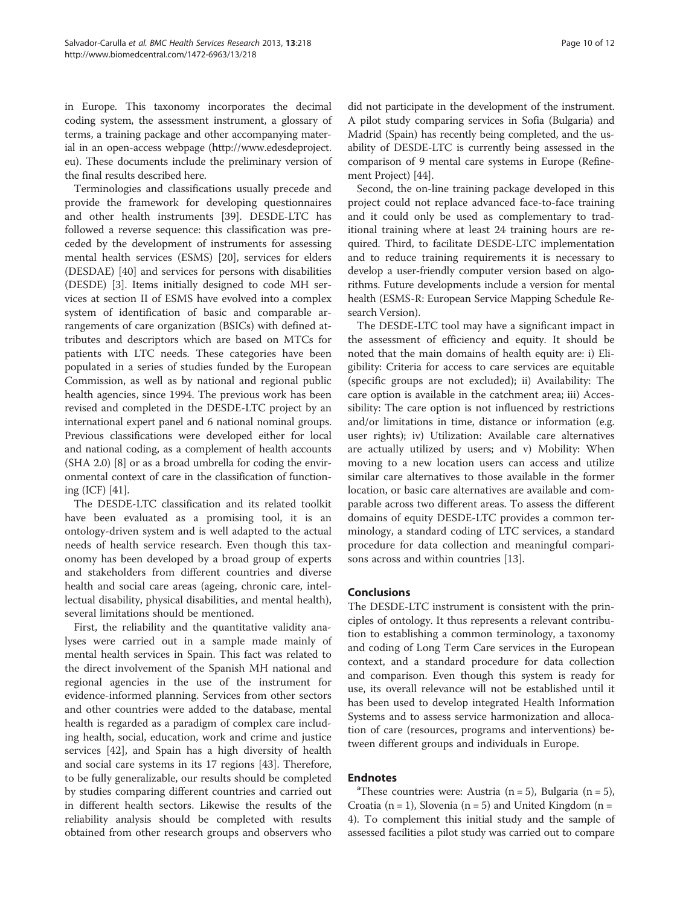in Europe. This taxonomy incorporates the decimal coding system, the assessment instrument, a glossary of terms, a training package and other accompanying material in an open-access webpage ([http://www.edesdeproject.](http://www.edesdeproject.eu) [eu](http://www.edesdeproject.eu)). These documents include the preliminary version of the final results described here.

Terminologies and classifications usually precede and provide the framework for developing questionnaires and other health instruments [[39\]](#page-11-0). DESDE-LTC has followed a reverse sequence: this classification was preceded by the development of instruments for assessing mental health services (ESMS) [\[20](#page-10-0)], services for elders (DESDAE) [[40\]](#page-11-0) and services for persons with disabilities (DESDE) [\[3](#page-10-0)]. Items initially designed to code MH services at section II of ESMS have evolved into a complex system of identification of basic and comparable arrangements of care organization (BSICs) with defined attributes and descriptors which are based on MTCs for patients with LTC needs. These categories have been populated in a series of studies funded by the European Commission, as well as by national and regional public health agencies, since 1994. The previous work has been revised and completed in the DESDE-LTC project by an international expert panel and 6 national nominal groups. Previous classifications were developed either for local and national coding, as a complement of health accounts (SHA 2.0) [[8\]](#page-10-0) or as a broad umbrella for coding the environmental context of care in the classification of functioning (ICF) [\[41](#page-11-0)].

The DESDE-LTC classification and its related toolkit have been evaluated as a promising tool, it is an ontology-driven system and is well adapted to the actual needs of health service research. Even though this taxonomy has been developed by a broad group of experts and stakeholders from different countries and diverse health and social care areas (ageing, chronic care, intellectual disability, physical disabilities, and mental health), several limitations should be mentioned.

First, the reliability and the quantitative validity analyses were carried out in a sample made mainly of mental health services in Spain. This fact was related to the direct involvement of the Spanish MH national and regional agencies in the use of the instrument for evidence-informed planning. Services from other sectors and other countries were added to the database, mental health is regarded as a paradigm of complex care including health, social, education, work and crime and justice services [\[42](#page-11-0)], and Spain has a high diversity of health and social care systems in its 17 regions [[43](#page-11-0)]. Therefore, to be fully generalizable, our results should be completed by studies comparing different countries and carried out in different health sectors. Likewise the results of the reliability analysis should be completed with results obtained from other research groups and observers who

did not participate in the development of the instrument. A pilot study comparing services in Sofia (Bulgaria) and Madrid (Spain) has recently being completed, and the usability of DESDE-LTC is currently being assessed in the comparison of 9 mental care systems in Europe (Refinement Project) [\[44\]](#page-11-0).

Second, the on-line training package developed in this project could not replace advanced face-to-face training and it could only be used as complementary to traditional training where at least 24 training hours are required. Third, to facilitate DESDE-LTC implementation and to reduce training requirements it is necessary to develop a user-friendly computer version based on algorithms. Future developments include a version for mental health (ESMS-R: European Service Mapping Schedule Research Version).

The DESDE-LTC tool may have a significant impact in the assessment of efficiency and equity. It should be noted that the main domains of health equity are: i) Eligibility: Criteria for access to care services are equitable (specific groups are not excluded); ii) Availability: The care option is available in the catchment area; iii) Accessibility: The care option is not influenced by restrictions and/or limitations in time, distance or information (e.g. user rights); iv) Utilization: Available care alternatives are actually utilized by users; and v) Mobility: When moving to a new location users can access and utilize similar care alternatives to those available in the former location, or basic care alternatives are available and comparable across two different areas. To assess the different domains of equity DESDE-LTC provides a common terminology, a standard coding of LTC services, a standard procedure for data collection and meaningful comparisons across and within countries [[13](#page-10-0)].

# Conclusions

The DESDE-LTC instrument is consistent with the principles of ontology. It thus represents a relevant contribution to establishing a common terminology, a taxonomy and coding of Long Term Care services in the European context, and a standard procedure for data collection and comparison. Even though this system is ready for use, its overall relevance will not be established until it has been used to develop integrated Health Information Systems and to assess service harmonization and allocation of care (resources, programs and interventions) between different groups and individuals in Europe.

#### **Endnotes**

<sup>a</sup>These countries were: Austria (n = 5), Bulgaria (n = 5), Croatia ( $n = 1$ ), Slovenia ( $n = 5$ ) and United Kingdom ( $n = 1$ ) 4). To complement this initial study and the sample of assessed facilities a pilot study was carried out to compare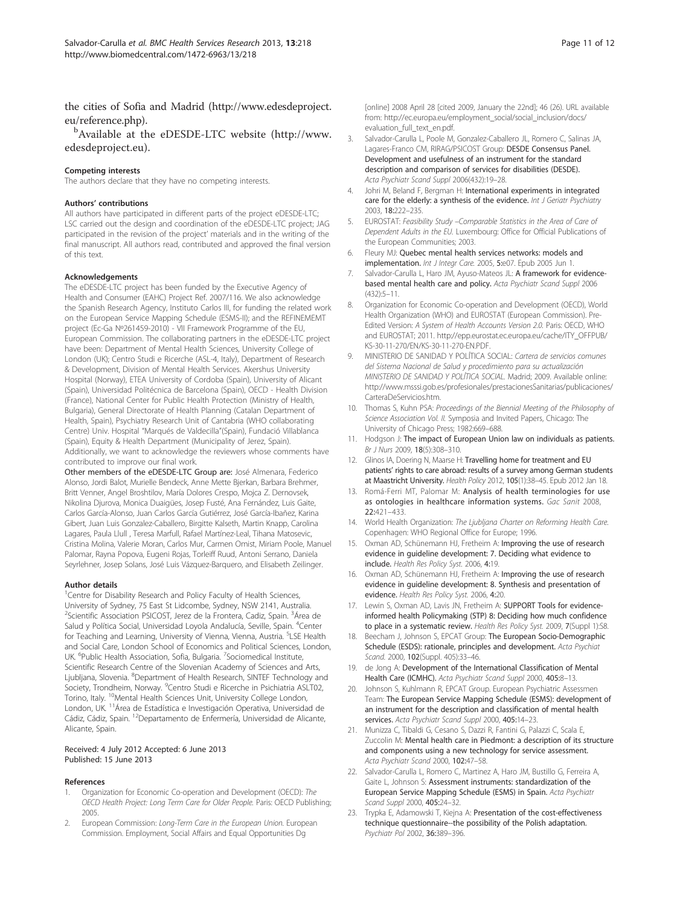<span id="page-10-0"></span>the cities of Sofia and Madrid ([http://www.edesdeproject.](http://www.edesdeproject.eu/reference.php) [eu/reference.php](http://www.edesdeproject.eu/reference.php)).

<sup>b</sup>Available at the eDESDE-LTC website ([http://www.](http://www.edesdeproject.eu) [edesdeproject.eu](http://www.edesdeproject.eu)).

#### Competing interests

The authors declare that they have no competing interests.

#### Authors' contributions

All authors have participated in different parts of the project eDESDE-LTC; LSC carried out the design and coordination of the eDESDE-LTC project; JAG participated in the revision of the project' materials and in the writing of the final manuscript. All authors read, contributed and approved the final version of this text.

#### Acknowledgements

The eDESDE-LTC project has been funded by the Executive Agency of Health and Consumer (EAHC) Project Ref. 2007/116. We also acknowledge the Spanish Research Agency, Instituto Carlos III, for funding the related work on the European Service Mapping Schedule (ESMS-II); and the REFINEMEMT project (Ec-Ga Nº261459-2010) - VII Framework Programme of the EU, European Commission. The collaborating partners in the eDESDE-LTC project have been: Department of Mental Health Sciences, University College of London (UK); Centro Studi e Ricerche (ASL-4, Italy), Department of Research & Development, Division of Mental Health Services. Akershus University Hospital (Norway), ETEA University of Cordoba (Spain), University of Alicant (Spain), Universidad Politécnica de Barcelona (Spain), OECD - Health Division (France), National Center for Public Health Protection (Ministry of Health, Bulgaria), General Directorate of Health Planning (Catalan Department of Health, Spain), Psychiatry Research Unit of Cantabria (WHO collaborating Centre) Univ. Hospital "Marqués de Valdecilla"(Spain), Fundació Villablanca (Spain), Equity & Health Department (Municipality of Jerez, Spain). Additionally, we want to acknowledge the reviewers whose comments have contributed to improve our final work.

Other members of the eDESDE-LTC Group are: José Almenara, Federico Alonso, Jordi Balot, Murielle Bendeck, Anne Mette Bjerkan, Barbara Brehmer, Britt Venner, Angel Broshtilov, María Dolores Crespo, Mojca Z. Dernovsek, Nikolina Djurova, Monica Duaigües, Josep Fusté, Ana Fernández, Luis Gaite, Carlos García-Alonso, Juan Carlos García Gutiérrez, José García-Ibañez, Karina Gibert, Juan Luis Gonzalez-Caballero, Birgitte Kalseth, Martin Knapp, Carolina Lagares, Paula Llull , Teresa Marfull, Rafael Martínez-Leal, Tihana Matosevic, Cristina Molina, Valerie Moran, Carlos Mur, Carmen Omist, Miriam Poole, Manuel Palomar, Rayna Popova, Eugeni Rojas, Torleiff Ruud, Antoni Serrano, Daniela Seyrlehner, Josep Solans, José Luis Vázquez-Barquero, and Elisabeth Zeilinger.

#### Author details

<sup>1</sup> Centre for Disability Research and Policy Faculty of Health Sciences, University of Sydney, 75 East St Lidcombe, Sydney, NSW 2141, Australia. <sup>2</sup>Scientific Association PSICOST, Jerez de la Frontera, Cadiz, Spain. <sup>3</sup>Área de Salud y Política Social, Universidad Loyola Andalucía, Seville, Spain. <sup>4</sup>Center for Teaching and Learning, University of Vienna, Vienna, Austria. <sup>5</sup>LSE Health and Social Care, London School of Economics and Political Sciences, London, UK. <sup>6</sup>Public Health Association, Sofia, Bulgaria. <sup>7</sup>Sociomedical Institute, Scientific Research Centre of the Slovenian Academy of Sciences and Arts, Ljubljana, Slovenia. <sup>8</sup>Department of Health Research, SINTEF Technology and Society, Trondheim, Norway. <sup>9</sup>Centro Studi e Ricerche in Psichiatria ASLT02, Torino, Italy. 10Mental Health Sciences Unit, University College London, London, UK. 11Área de Estadística e Investigación Operativa, Universidad de Cádiz, Cádiz, Spain. <sup>12</sup>Departamento de Enfermería, Universidad de Alicante, Alicante, Spain.

#### Received: 4 July 2012 Accepted: 6 June 2013 Published: 15 June 2013

#### References

- 1. Organization for Economic Co-operation and Development (OECD): The OECD Health Project: Long Term Care for Older People. Paris: OECD Publishing; 2005.
- 2. European Commission: Long-Term Care in the European Union. European Commission. Employment, Social Affairs and Equal Opportunities Dg

[online] 2008 April 28 [cited 2009, January the 22nd]; 46 (26). URL available from: [http://ec.europa.eu/employment\\_social/social\\_inclusion/docs/](http://ec.europa.eu/employment_social/social_inclusion/docs/evaluation_full_text_en.pdf) [evaluation\\_full\\_text\\_en.pdf](http://ec.europa.eu/employment_social/social_inclusion/docs/evaluation_full_text_en.pdf).

- 3. Salvador-Carulla L, Poole M, Gonzalez-Caballero JL, Romero C, Salinas JA, Lagares-Franco CM, RIRAG/PSICOST Group: DESDE Consensus Panel. Development and usefulness of an instrument for the standard description and comparison of services for disabilities (DESDE). Acta Psychiatr Scand Suppl 2006(432):19–28.
- 4. Johri M, Beland F, Bergman H: International experiments in integrated care for the elderly: a synthesis of the evidence. Int J Geriatr Psychiatry 2003, 18:222–235.
- 5. EUROSTAT: Feasibility Study –Comparable Statistics in the Area of Care of Dependent Adults in the EU. Luxembourg: Office for Official Publications of the European Communities; 2003.
- 6. Fleury MJ: Quebec mental health services networks: models and implementation. Int J Integr Care. 2005, 5:e07. Epub 2005 Jun 1.
- 7. Salvador-Carulla L, Haro JM, Ayuso-Mateos JL: A framework for evidencebased mental health care and policy. Acta Psychiatr Scand Suppl 2006  $(432):5–11$
- 8. Organization for Economic Co-operation and Development (OECD), World Health Organization (WHO) and EUROSTAT (European Commission). Pre-Edited Version: A System of Health Accounts Version 2.0. Paris: OECD, WHO and EUROSTAT; 2011. [http://epp.eurostat.ec.europa.eu/cache/ITY\\_OFFPUB/](http://epp.eurostat.ec.europa.eu/cache/ITY_OFFPUB/KS-30-11-270/EN/KS-30-11-270-EN.PDF) [KS-30-11-270/EN/KS-30-11-270-EN.PDF.](http://epp.eurostat.ec.europa.eu/cache/ITY_OFFPUB/KS-30-11-270/EN/KS-30-11-270-EN.PDF)
- 9. MINISTERIO DE SANIDAD Y POLÍTICA SOCIAL: Cartera de servicios comunes del Sistema Nacional de Salud y procedimiento para su actualización MINISTERIO DE SANIDAD Y POLÍTICA SOCIAL. Madrid; 2009. Available online: [http://www.msssi.gob.es/profesionales/prestacionesSanitarias/publicaciones/](http://www.msssi.gob.es/profesionales/prestacionesSanitarias/publicaciones/CarteraDeServicios.htm) [CarteraDeServicios.htm](http://www.msssi.gob.es/profesionales/prestacionesSanitarias/publicaciones/CarteraDeServicios.htm).
- 10. Thomas S, Kuhn PSA: Proceedings of the Biennial Meeting of the Philosophy of Science Association Vol. II. Symposia and Invited Papers, Chicago: The University of Chicago Press; 1982:669–688.
- 11. Hodgson J: The impact of European Union law on individuals as patients. Br J Nurs 2009, 18(5):308–310.
- 12. Glinos IA, Doering N, Maarse H: Travelling home for treatment and EU patients' rights to care abroad: results of a survey among German students at Maastricht University. Health Policy 2012, 105(1):38–45. Epub 2012 Jan 18.
- 13. Romá-Ferri MT, Palomar M: Analysis of health terminologies for use as ontologies in healthcare information systems. Gac Sanit 2008, 22:421–433.
- 14. World Health Organization: The Ljubljana Charter on Reforming Health Care. Copenhagen: WHO Regional Office for Europe; 1996.
- 15. Oxman AD, Schünemann HJ, Fretheim A: Improving the use of research evidence in guideline development: 7. Deciding what evidence to include. Health Res Policy Syst. 2006, 4:19.
- 16. Oxman AD, Schünemann HJ, Fretheim A: Improving the use of research evidence in guideline development: 8. Synthesis and presentation of evidence. Health Res Policy Syst. 2006, 4:20.
- 17. Lewin S, Oxman AD, Lavis JN, Fretheim A: SUPPORT Tools for evidenceinformed health Policymaking (STP) 8: Deciding how much confidence to place in a systematic review. Health Res Policy Syst. 2009, 7(Suppl 1):S8.
- 18. Beecham J, Johnson S, EPCAT Group: The European Socio-Demographic Schedule (ESDS): rationale, principles and development. Acta Psychiat Scand. 2000, 102(Suppl. 405):33–46.
- 19. de Jong A: Development of the International Classification of Mental Health Care (ICMHC). Acta Psychiatr Scand Suppl 2000, 405:8-13.
- 20. Johnson S, Kuhlmann R, EPCAT Group. European Psychiatric Assessmen Team: The European Service Mapping Schedule (ESMS): development of an instrument for the description and classification of mental health services. Acta Psychiatr Scand Suppl 2000, 405:14-23.
- 21. Munizza C, Tibaldi G, Cesano S, Dazzi R, Fantini G, Palazzi C, Scala E, Zuccolin M: Mental health care in Piedmont: a description of its structure and components using a new technology for service assessment. Acta Psychiatr Scand 2000, 102:47–58.
- 22. Salvador-Carulla L, Romero C, Martinez A, Haro JM, Bustillo G, Ferreira A, Gaite L, Johnson S: Assessment instruments: standardization of the European Service Mapping Schedule (ESMS) in Spain. Acta Psychiatr Scand Suppl 2000, 405:24–32.
- 23. Trypka E, Adamowski T, Kiejna A: Presentation of the cost-effectiveness technique questionnaire--the possibility of the Polish adaptation. Psychiatr Pol 2002, 36:389–396.